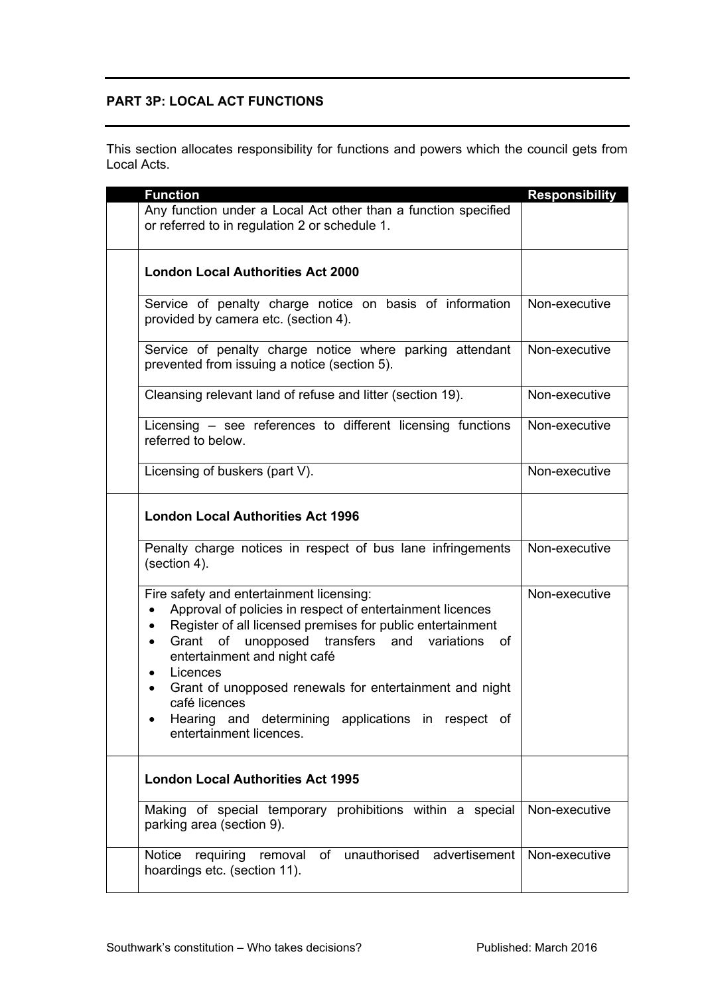## **PART 3P: LOCAL ACT FUNCTIONS**

This section allocates responsibility for functions and powers which the council gets from Local Acts.

|  | <b>Function</b>                                                                                                                                                                                                                                                                                                                                                                                                                                                           | <b>Responsibility</b> |
|--|---------------------------------------------------------------------------------------------------------------------------------------------------------------------------------------------------------------------------------------------------------------------------------------------------------------------------------------------------------------------------------------------------------------------------------------------------------------------------|-----------------------|
|  | Any function under a Local Act other than a function specified<br>or referred to in regulation 2 or schedule 1.                                                                                                                                                                                                                                                                                                                                                           |                       |
|  | <b>London Local Authorities Act 2000</b>                                                                                                                                                                                                                                                                                                                                                                                                                                  |                       |
|  | Service of penalty charge notice on basis of information<br>provided by camera etc. (section 4).                                                                                                                                                                                                                                                                                                                                                                          | Non-executive         |
|  | Service of penalty charge notice where parking attendant<br>prevented from issuing a notice (section 5).                                                                                                                                                                                                                                                                                                                                                                  | Non-executive         |
|  | Cleansing relevant land of refuse and litter (section 19).                                                                                                                                                                                                                                                                                                                                                                                                                | Non-executive         |
|  | Licensing - see references to different licensing functions<br>referred to below.                                                                                                                                                                                                                                                                                                                                                                                         | Non-executive         |
|  | Licensing of buskers (part V).                                                                                                                                                                                                                                                                                                                                                                                                                                            | Non-executive         |
|  | <b>London Local Authorities Act 1996</b>                                                                                                                                                                                                                                                                                                                                                                                                                                  |                       |
|  | Penalty charge notices in respect of bus lane infringements<br>(section 4).                                                                                                                                                                                                                                                                                                                                                                                               | Non-executive         |
|  | Fire safety and entertainment licensing:<br>Approval of policies in respect of entertainment licences<br>$\bullet$<br>Register of all licensed premises for public entertainment<br>$\bullet$<br>Grant of unopposed transfers and variations of<br>$\bullet$<br>entertainment and night café<br>Licences<br>$\bullet$<br>Grant of unopposed renewals for entertainment and night<br>$\bullet$<br>café licences<br>Hearing and determining applications in respect of<br>٠ | Non-executive         |
|  | entertainment licences.                                                                                                                                                                                                                                                                                                                                                                                                                                                   |                       |
|  | <b>London Local Authorities Act 1995</b>                                                                                                                                                                                                                                                                                                                                                                                                                                  |                       |
|  | Making of special temporary prohibitions within a special<br>parking area (section 9).                                                                                                                                                                                                                                                                                                                                                                                    | Non-executive         |
|  | unauthorised<br>advertisement<br><b>Notice</b><br>requiring<br>of<br>removal<br>hoardings etc. (section 11).                                                                                                                                                                                                                                                                                                                                                              | Non-executive         |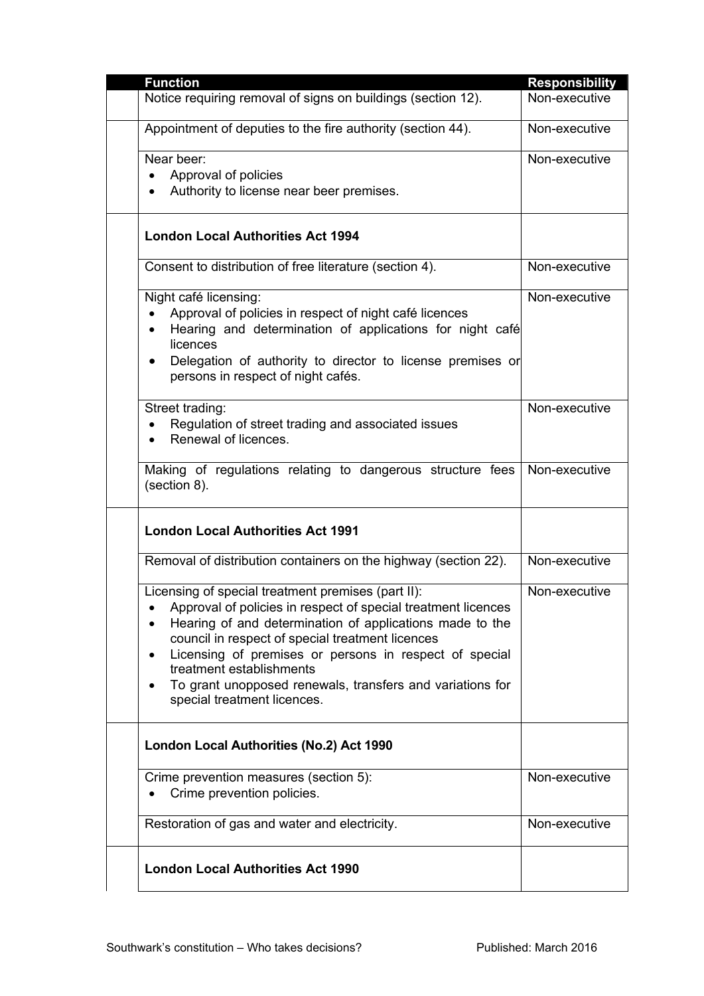| <b>Function</b>                                                                                                                                                                                                                                                                                                                                                                                                                              | <b>Responsibility</b> |
|----------------------------------------------------------------------------------------------------------------------------------------------------------------------------------------------------------------------------------------------------------------------------------------------------------------------------------------------------------------------------------------------------------------------------------------------|-----------------------|
| Notice requiring removal of signs on buildings (section 12).                                                                                                                                                                                                                                                                                                                                                                                 | Non-executive         |
| Appointment of deputies to the fire authority (section 44).                                                                                                                                                                                                                                                                                                                                                                                  | Non-executive         |
| Near beer:<br>Approval of policies<br>$\bullet$<br>Authority to license near beer premises.<br>$\bullet$                                                                                                                                                                                                                                                                                                                                     | Non-executive         |
| <b>London Local Authorities Act 1994</b>                                                                                                                                                                                                                                                                                                                                                                                                     |                       |
| Consent to distribution of free literature (section 4).                                                                                                                                                                                                                                                                                                                                                                                      | Non-executive         |
| Night café licensing:<br>Approval of policies in respect of night café licences<br>Hearing and determination of applications for night café<br>$\bullet$<br>licences<br>Delegation of authority to director to license premises or<br>$\bullet$<br>persons in respect of night cafés.                                                                                                                                                        | Non-executive         |
| Street trading:<br>Regulation of street trading and associated issues<br>$\bullet$<br>Renewal of licences.                                                                                                                                                                                                                                                                                                                                   | Non-executive         |
| Making of regulations relating to dangerous structure fees<br>(section 8).                                                                                                                                                                                                                                                                                                                                                                   | Non-executive         |
| <b>London Local Authorities Act 1991</b>                                                                                                                                                                                                                                                                                                                                                                                                     |                       |
| Removal of distribution containers on the highway (section 22).                                                                                                                                                                                                                                                                                                                                                                              | Non-executive         |
| Licensing of special treatment premises (part II):<br>Approval of policies in respect of special treatment licences<br>Hearing of and determination of applications made to the<br>$\bullet$<br>council in respect of special treatment licences<br>Licensing of premises or persons in respect of special<br>٠<br>treatment establishments<br>To grant unopposed renewals, transfers and variations for<br>٠<br>special treatment licences. | Non-executive         |
| London Local Authorities (No.2) Act 1990                                                                                                                                                                                                                                                                                                                                                                                                     |                       |
| Crime prevention measures (section 5):<br>Crime prevention policies.                                                                                                                                                                                                                                                                                                                                                                         | Non-executive         |
| Restoration of gas and water and electricity.                                                                                                                                                                                                                                                                                                                                                                                                | Non-executive         |
| <b>London Local Authorities Act 1990</b>                                                                                                                                                                                                                                                                                                                                                                                                     |                       |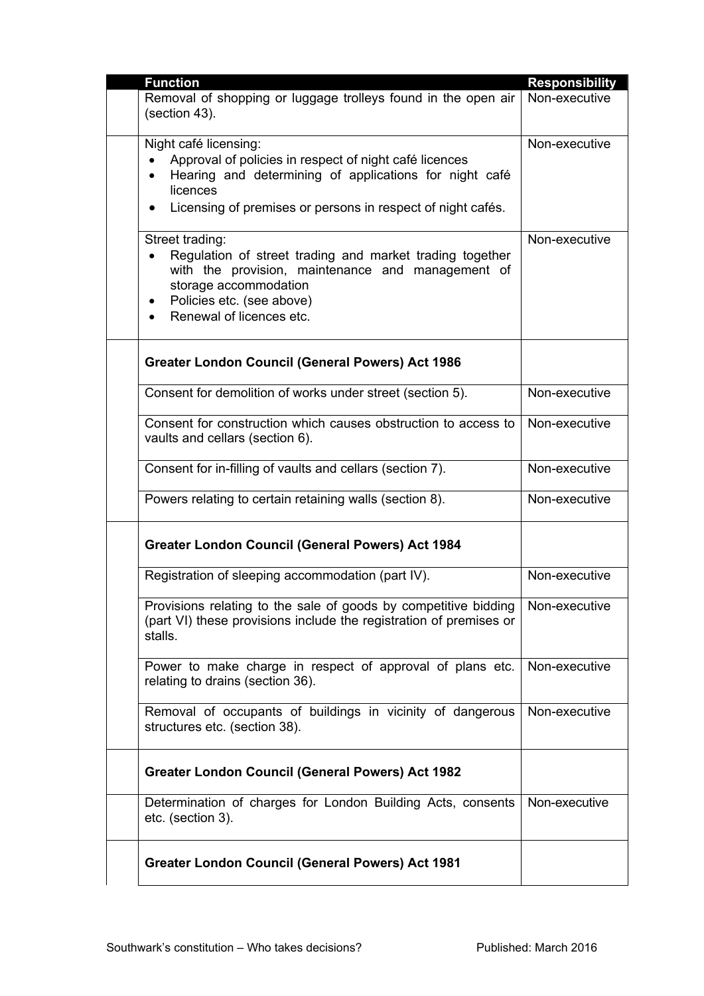|  | <b>Function</b>                                                                                                                                                                                                                   | <b>Responsibility</b> |
|--|-----------------------------------------------------------------------------------------------------------------------------------------------------------------------------------------------------------------------------------|-----------------------|
|  | Removal of shopping or luggage trolleys found in the open air<br>(section 43).                                                                                                                                                    | Non-executive         |
|  | Night café licensing:<br>Approval of policies in respect of night café licences<br>$\bullet$<br>Hearing and determining of applications for night café<br>licences<br>Licensing of premises or persons in respect of night cafés. | Non-executive         |
|  | Street trading:<br>Regulation of street trading and market trading together<br>with the provision, maintenance and management of<br>storage accommodation<br>Policies etc. (see above)<br>$\bullet$<br>Renewal of licences etc.   | Non-executive         |
|  | <b>Greater London Council (General Powers) Act 1986</b>                                                                                                                                                                           |                       |
|  | Consent for demolition of works under street (section 5).                                                                                                                                                                         | Non-executive         |
|  | Consent for construction which causes obstruction to access to<br>vaults and cellars (section 6).                                                                                                                                 | Non-executive         |
|  | Consent for in-filling of vaults and cellars (section 7).                                                                                                                                                                         | Non-executive         |
|  | Powers relating to certain retaining walls (section 8).                                                                                                                                                                           | Non-executive         |
|  | <b>Greater London Council (General Powers) Act 1984</b>                                                                                                                                                                           |                       |
|  | Registration of sleeping accommodation (part IV).                                                                                                                                                                                 | Non-executive         |
|  | Provisions relating to the sale of goods by competitive bidding<br>(part VI) these provisions include the registration of premises or<br>stalls.                                                                                  | Non-executive         |
|  | Power to make charge in respect of approval of plans etc.<br>relating to drains (section 36).                                                                                                                                     | Non-executive         |
|  | Removal of occupants of buildings in vicinity of dangerous<br>structures etc. (section 38).                                                                                                                                       | Non-executive         |
|  | <b>Greater London Council (General Powers) Act 1982</b>                                                                                                                                                                           |                       |
|  | Determination of charges for London Building Acts, consents<br>etc. (section 3).                                                                                                                                                  | Non-executive         |
|  | <b>Greater London Council (General Powers) Act 1981</b>                                                                                                                                                                           |                       |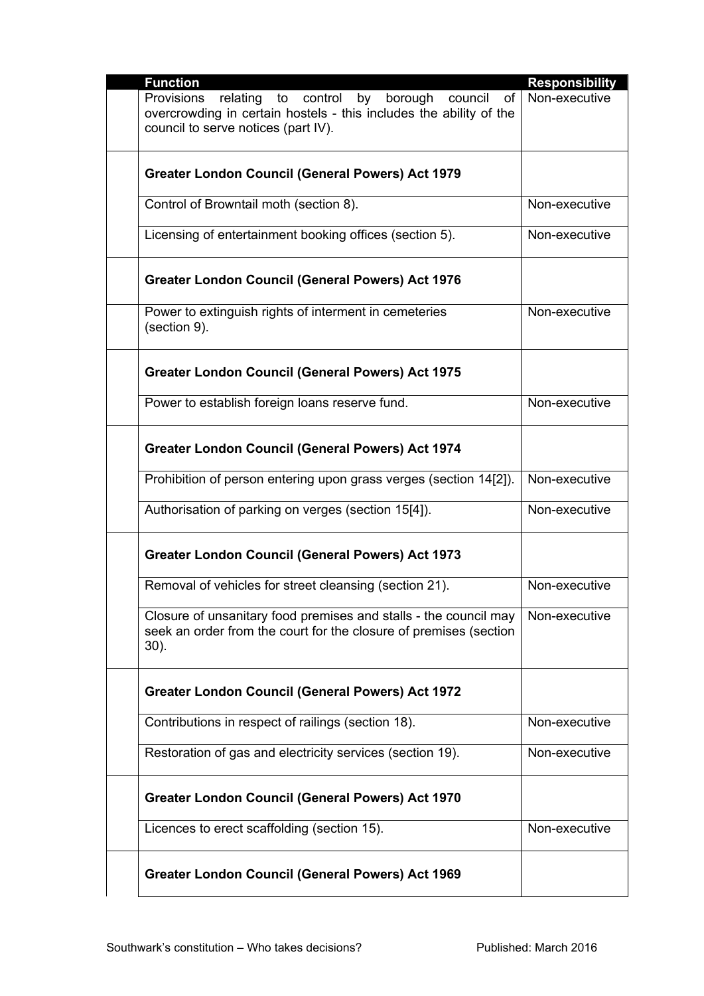| <b>Function</b>                                                              | <b>Responsibility</b> |
|------------------------------------------------------------------------------|-----------------------|
| by borough council<br>relating to control<br>of<br>Provisions                | Non-executive         |
| overcrowding in certain hostels - this includes the ability of the           |                       |
| council to serve notices (part IV).                                          |                       |
|                                                                              |                       |
|                                                                              |                       |
| <b>Greater London Council (General Powers) Act 1979</b>                      |                       |
| Control of Browntail moth (section 8).                                       | Non-executive         |
|                                                                              |                       |
| Licensing of entertainment booking offices (section 5).                      | Non-executive         |
|                                                                              |                       |
|                                                                              |                       |
| <b>Greater London Council (General Powers) Act 1976</b>                      |                       |
|                                                                              |                       |
| Power to extinguish rights of interment in cemeteries                        | Non-executive         |
| (section 9).                                                                 |                       |
|                                                                              |                       |
| <b>Greater London Council (General Powers) Act 1975</b>                      |                       |
|                                                                              |                       |
| Power to establish foreign loans reserve fund.                               | Non-executive         |
|                                                                              |                       |
|                                                                              |                       |
| <b>Greater London Council (General Powers) Act 1974</b>                      |                       |
|                                                                              |                       |
| Prohibition of person entering upon grass verges (section 14[2]).            | Non-executive         |
| Authorisation of parking on verges (section 15[4]).                          | Non-executive         |
|                                                                              |                       |
|                                                                              |                       |
| <b>Greater London Council (General Powers) Act 1973</b>                      |                       |
|                                                                              |                       |
| Removal of vehicles for street cleansing (section 21).                       | Non-executive         |
|                                                                              |                       |
| Closure of unsanitary food premises and stalls - the council may             | Non-executive         |
| seek an order from the court for the closure of premises (section<br>$30$ ). |                       |
|                                                                              |                       |
|                                                                              |                       |
| <b>Greater London Council (General Powers) Act 1972</b>                      |                       |
|                                                                              |                       |
| Contributions in respect of railings (section 18).                           | Non-executive         |
|                                                                              |                       |
| Restoration of gas and electricity services (section 19).                    | Non-executive         |
|                                                                              |                       |
| <b>Greater London Council (General Powers) Act 1970</b>                      |                       |
|                                                                              |                       |
| Licences to erect scaffolding (section 15).                                  | Non-executive         |
|                                                                              |                       |
|                                                                              |                       |
| <b>Greater London Council (General Powers) Act 1969</b>                      |                       |
|                                                                              |                       |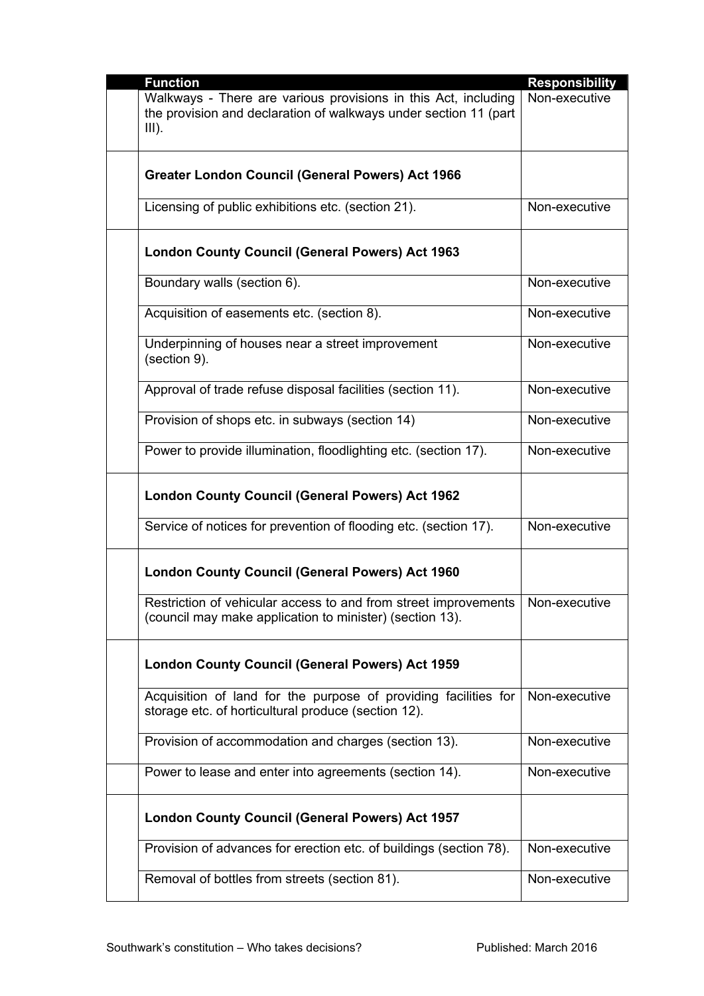| <b>Function</b>                                                                                                                                | <b>Responsibility</b> |
|------------------------------------------------------------------------------------------------------------------------------------------------|-----------------------|
| Walkways - There are various provisions in this Act, including<br>the provision and declaration of walkways under section 11 (part<br>$III$ ). | Non-executive         |
| <b>Greater London Council (General Powers) Act 1966</b>                                                                                        |                       |
| Licensing of public exhibitions etc. (section 21).                                                                                             | Non-executive         |
| <b>London County Council (General Powers) Act 1963</b>                                                                                         |                       |
| Boundary walls (section 6).                                                                                                                    | Non-executive         |
| Acquisition of easements etc. (section 8).                                                                                                     | Non-executive         |
| Underpinning of houses near a street improvement<br>(section 9).                                                                               | Non-executive         |
| Approval of trade refuse disposal facilities (section 11).                                                                                     | Non-executive         |
| Provision of shops etc. in subways (section 14)                                                                                                | Non-executive         |
| Power to provide illumination, floodlighting etc. (section 17).                                                                                | Non-executive         |
| <b>London County Council (General Powers) Act 1962</b>                                                                                         |                       |
| Service of notices for prevention of flooding etc. (section 17).                                                                               | Non-executive         |
| <b>London County Council (General Powers) Act 1960</b>                                                                                         |                       |
| Restriction of vehicular access to and from street improvements<br>(council may make application to minister) (section 13).                    | Non-executive         |
| <b>London County Council (General Powers) Act 1959</b>                                                                                         |                       |
| Acquisition of land for the purpose of providing facilities for<br>storage etc. of horticultural produce (section 12).                         | Non-executive         |
| Provision of accommodation and charges (section 13).                                                                                           | Non-executive         |
| Power to lease and enter into agreements (section 14).                                                                                         | Non-executive         |
| <b>London County Council (General Powers) Act 1957</b>                                                                                         |                       |
| Provision of advances for erection etc. of buildings (section 78).                                                                             | Non-executive         |
| Removal of bottles from streets (section 81).                                                                                                  | Non-executive         |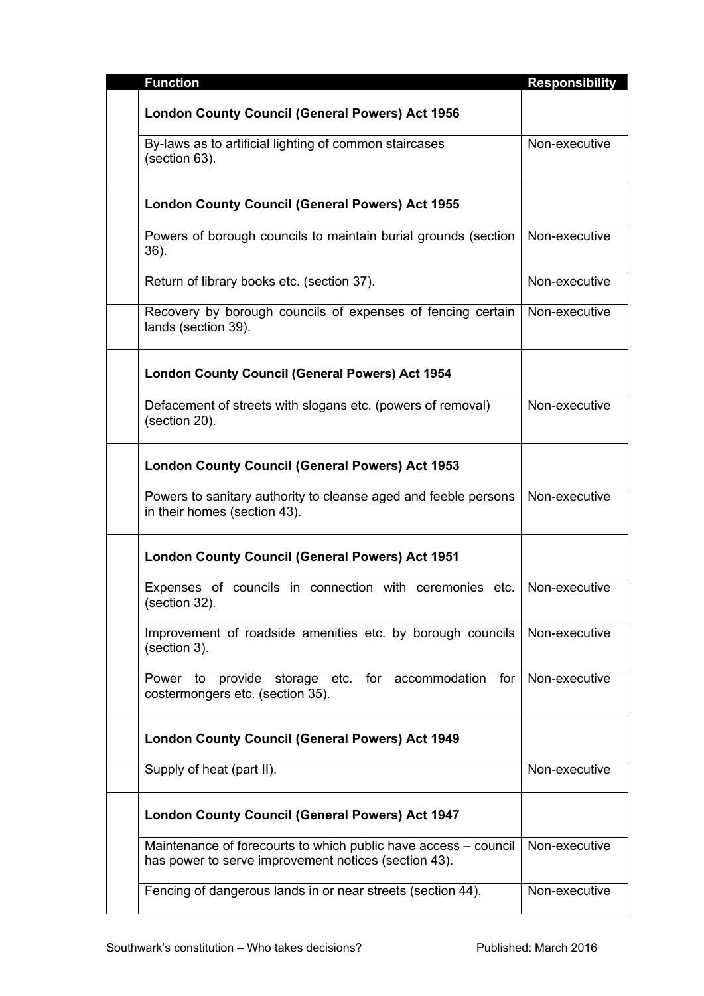| <b>Function</b>                                                                                                         | <b>Responsibility</b> |
|-------------------------------------------------------------------------------------------------------------------------|-----------------------|
| <b>London County Council (General Powers) Act 1956</b>                                                                  |                       |
| By-laws as to artificial lighting of common staircases<br>(section 63).                                                 | Non-executive         |
| <b>London County Council (General Powers) Act 1955</b>                                                                  |                       |
| Powers of borough councils to maintain burial grounds (section<br>$36$ ).                                               | Non-executive         |
| Return of library books etc. (section 37).                                                                              | Non-executive         |
| Recovery by borough councils of expenses of fencing certain<br>lands (section 39).                                      | Non-executive         |
| <b>London County Council (General Powers) Act 1954</b>                                                                  |                       |
| Defacement of streets with slogans etc. (powers of removal)<br>(section 20).                                            | Non-executive         |
| <b>London County Council (General Powers) Act 1953</b>                                                                  |                       |
| Powers to sanitary authority to cleanse aged and feeble persons<br>in their homes (section 43).                         | Non-executive         |
| <b>London County Council (General Powers) Act 1951</b>                                                                  |                       |
| Expenses of councils in connection with ceremonies etc.<br>(section 32).                                                | Non-executive         |
| Improvement of roadside amenities etc. by borough councils<br>(section 3).                                              | Non-executive         |
| storage etc. for accommodation for<br>provide<br>Power<br>to<br>costermongers etc. (section 35).                        | Non-executive         |
| <b>London County Council (General Powers) Act 1949</b>                                                                  |                       |
| Supply of heat (part II).                                                                                               | Non-executive         |
| <b>London County Council (General Powers) Act 1947</b>                                                                  |                       |
| Maintenance of forecourts to which public have access - council<br>has power to serve improvement notices (section 43). | Non-executive         |
| Fencing of dangerous lands in or near streets (section 44).                                                             | Non-executive         |